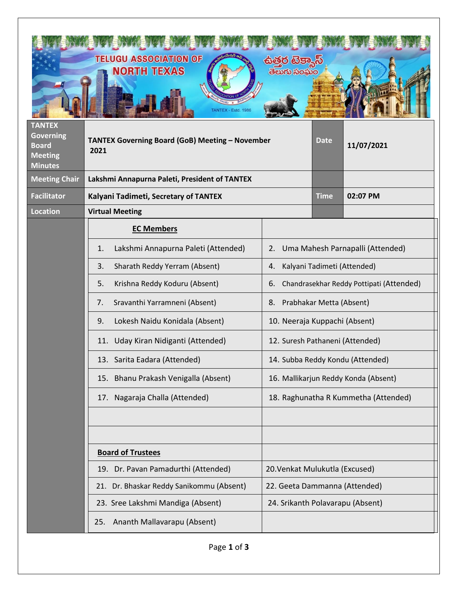|                                                                                       | <b>TELUGU ASSOCIATION OF</b><br><b>NORTH TEXAS</b><br><b>FANTEX - Estd. 1986</b> | ತಲುಗು ಸಂಮಂ                                     |  |                                      |
|---------------------------------------------------------------------------------------|----------------------------------------------------------------------------------|------------------------------------------------|--|--------------------------------------|
| <b>TANTEX</b><br><b>Governing</b><br><b>Board</b><br><b>Meeting</b><br><b>Minutes</b> | TANTEX Governing Board (GoB) Meeting - November<br>2021                          |                                                |  | 11/07/2021                           |
| <b>Meeting Chair</b>                                                                  | Lakshmi Annapurna Paleti, President of TANTEX                                    |                                                |  |                                      |
| <b>Facilitator</b>                                                                    | Kalyani Tadimeti, Secretary of TANTEX                                            |                                                |  | 02:07 PM                             |
| <b>Location</b>                                                                       | <b>Virtual Meeting</b>                                                           |                                                |  |                                      |
|                                                                                       | <b>EC Members</b>                                                                |                                                |  |                                      |
|                                                                                       | Lakshmi Annapurna Paleti (Attended)<br>1.                                        | Uma Mahesh Parnapalli (Attended)<br>2.         |  |                                      |
|                                                                                       | Sharath Reddy Yerram (Absent)<br>3.                                              | Kalyani Tadimeti (Attended)<br>4.              |  |                                      |
|                                                                                       | Krishna Reddy Koduru (Absent)<br>5.                                              | Chandrasekhar Reddy Pottipati (Attended)<br>6. |  |                                      |
|                                                                                       | Sravanthi Yarramneni (Absent)<br>7.                                              | Prabhakar Metta (Absent)<br>8.                 |  |                                      |
|                                                                                       | Lokesh Naidu Konidala (Absent)<br>9.                                             | 10. Neeraja Kuppachi (Absent)                  |  |                                      |
|                                                                                       | Uday Kiran Nidiganti (Attended)<br>11.                                           | 12. Suresh Pathaneni (Attended)                |  |                                      |
|                                                                                       | 13. Sarita Eadara (Attended)                                                     | 14. Subba Reddy Kondu (Attended)               |  |                                      |
|                                                                                       | 15. Bhanu Prakash Venigalla (Absent)                                             | 16. Mallikarjun Reddy Konda (Absent)           |  |                                      |
|                                                                                       | 17. Nagaraja Challa (Attended)                                                   |                                                |  | 18. Raghunatha R Kummetha (Attended) |
|                                                                                       |                                                                                  |                                                |  |                                      |
|                                                                                       |                                                                                  |                                                |  |                                      |
|                                                                                       | <b>Board of Trustees</b>                                                         |                                                |  |                                      |
|                                                                                       | 19. Dr. Pavan Pamadurthi (Attended)                                              | 20. Venkat Mulukutla (Excused)                 |  |                                      |
|                                                                                       | 21. Dr. Bhaskar Reddy Sanikommu (Absent)                                         | 22. Geeta Dammanna (Attended)                  |  |                                      |
|                                                                                       | 23. Sree Lakshmi Mandiga (Absent)                                                | 24. Srikanth Polavarapu (Absent)               |  |                                      |
|                                                                                       | 25. Ananth Mallavarapu (Absent)                                                  |                                                |  |                                      |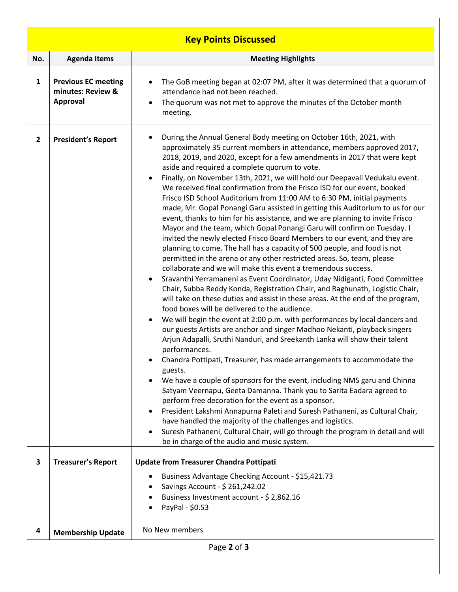| <b>Key Points Discussed</b> |                                                                    |                                                                                                                                                                                                                                                                                                                                                                                                                                                                                                                                                                                                                                                                                                                                                                                                                                                                                                                                                                                                                                                                                                                                                                                                                                                                                                                                                                                                                                                                                                                                                                                                                                                                                                                                                                                                                                                                                                                                                                                                                                                                                                                                                                                                                                           |  |  |  |  |  |
|-----------------------------|--------------------------------------------------------------------|-------------------------------------------------------------------------------------------------------------------------------------------------------------------------------------------------------------------------------------------------------------------------------------------------------------------------------------------------------------------------------------------------------------------------------------------------------------------------------------------------------------------------------------------------------------------------------------------------------------------------------------------------------------------------------------------------------------------------------------------------------------------------------------------------------------------------------------------------------------------------------------------------------------------------------------------------------------------------------------------------------------------------------------------------------------------------------------------------------------------------------------------------------------------------------------------------------------------------------------------------------------------------------------------------------------------------------------------------------------------------------------------------------------------------------------------------------------------------------------------------------------------------------------------------------------------------------------------------------------------------------------------------------------------------------------------------------------------------------------------------------------------------------------------------------------------------------------------------------------------------------------------------------------------------------------------------------------------------------------------------------------------------------------------------------------------------------------------------------------------------------------------------------------------------------------------------------------------------------------------|--|--|--|--|--|
| No.                         | <b>Agenda Items</b>                                                | <b>Meeting Highlights</b>                                                                                                                                                                                                                                                                                                                                                                                                                                                                                                                                                                                                                                                                                                                                                                                                                                                                                                                                                                                                                                                                                                                                                                                                                                                                                                                                                                                                                                                                                                                                                                                                                                                                                                                                                                                                                                                                                                                                                                                                                                                                                                                                                                                                                 |  |  |  |  |  |
| $\mathbf{1}$                | <b>Previous EC meeting</b><br>minutes: Review &<br><b>Approval</b> | The GoB meeting began at 02:07 PM, after it was determined that a quorum of<br>$\bullet$<br>attendance had not been reached.<br>The quorum was not met to approve the minutes of the October month<br>$\bullet$<br>meeting.                                                                                                                                                                                                                                                                                                                                                                                                                                                                                                                                                                                                                                                                                                                                                                                                                                                                                                                                                                                                                                                                                                                                                                                                                                                                                                                                                                                                                                                                                                                                                                                                                                                                                                                                                                                                                                                                                                                                                                                                               |  |  |  |  |  |
| $\overline{2}$              | <b>President's Report</b>                                          | During the Annual General Body meeting on October 16th, 2021, with<br>approximately 35 current members in attendance, members approved 2017,<br>2018, 2019, and 2020, except for a few amendments in 2017 that were kept<br>aside and required a complete quorum to vote.<br>Finally, on November 13th, 2021, we will hold our Deepavali Vedukalu event.<br>We received final confirmation from the Frisco ISD for our event, booked<br>Frisco ISD School Auditorium from 11:00 AM to 6:30 PM, initial payments<br>made, Mr. Gopal Ponangi Garu assisted in getting this Auditorium to us for our<br>event, thanks to him for his assistance, and we are planning to invite Frisco<br>Mayor and the team, which Gopal Ponangi Garu will confirm on Tuesday. I<br>invited the newly elected Frisco Board Members to our event, and they are<br>planning to come. The hall has a capacity of 500 people, and food is not<br>permitted in the arena or any other restricted areas. So, team, please<br>collaborate and we will make this event a tremendous success.<br>Sravanthi Yerramaneni as Event Coordinator, Uday Nidiganti, Food Committee<br>$\bullet$<br>Chair, Subba Reddy Konda, Registration Chair, and Raghunath, Logistic Chair,<br>will take on these duties and assist in these areas. At the end of the program,<br>food boxes will be delivered to the audience.<br>We will begin the event at 2:00 p.m. with performances by local dancers and<br>$\bullet$<br>our guests Artists are anchor and singer Madhoo Nekanti, playback singers<br>Arjun Adapalli, Sruthi Nanduri, and Sreekanth Lanka will show their talent<br>performances.<br>Chandra Pottipati, Treasurer, has made arrangements to accommodate the<br>guests.<br>We have a couple of sponsors for the event, including NMS garu and Chinna<br>Satyam Veernapu, Geeta Damanna. Thank you to Sarita Eadara agreed to<br>perform free decoration for the event as a sponsor.<br>President Lakshmi Annapurna Paleti and Suresh Pathaneni, as Cultural Chair,<br>have handled the majority of the challenges and logistics.<br>Suresh Pathaneni, Cultural Chair, will go through the program in detail and will<br>be in charge of the audio and music system. |  |  |  |  |  |
| $\overline{\mathbf{3}}$     | <b>Treasurer's Report</b>                                          | <b>Update from Treasurer Chandra Pottipati</b><br>Business Advantage Checking Account - \$15,421.73<br>Savings Account - \$ 261,242.02<br>Business Investment account - \$ 2,862.16<br>PayPal - \$0.53                                                                                                                                                                                                                                                                                                                                                                                                                                                                                                                                                                                                                                                                                                                                                                                                                                                                                                                                                                                                                                                                                                                                                                                                                                                                                                                                                                                                                                                                                                                                                                                                                                                                                                                                                                                                                                                                                                                                                                                                                                    |  |  |  |  |  |
| 4                           | <b>Membership Update</b>                                           | No New members                                                                                                                                                                                                                                                                                                                                                                                                                                                                                                                                                                                                                                                                                                                                                                                                                                                                                                                                                                                                                                                                                                                                                                                                                                                                                                                                                                                                                                                                                                                                                                                                                                                                                                                                                                                                                                                                                                                                                                                                                                                                                                                                                                                                                            |  |  |  |  |  |
|                             | Page 2 of 3                                                        |                                                                                                                                                                                                                                                                                                                                                                                                                                                                                                                                                                                                                                                                                                                                                                                                                                                                                                                                                                                                                                                                                                                                                                                                                                                                                                                                                                                                                                                                                                                                                                                                                                                                                                                                                                                                                                                                                                                                                                                                                                                                                                                                                                                                                                           |  |  |  |  |  |